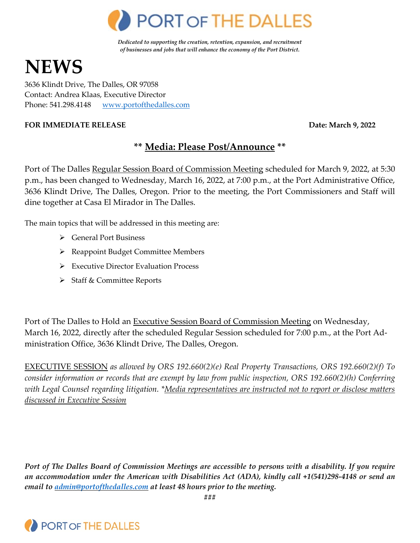

*Dedicated to supporting the creation, retention, expansion, and recruitment of businesses and jobs that will enhance the economy of the Port District.*

# **NEWS**

3636 Klindt Drive, The Dalles, OR 97058 Contact: Andrea Klaas, Executive Director Phone: 541.298.4148 [www.portofthedalles.com](http://www.portofthedalles.com/)

#### **FOR IMMEDIATE RELEASE Date: March 9, 2022**

# **\*\* Media: Please Post/Announce \*\***

Port of The Dalles Regular Session Board of Commission Meeting scheduled for March 9, 2022, at 5:30 p.m., has been changed to Wednesday, March 16, 2022, at 7:00 p.m., at the Port Administrative Office, 3636 Klindt Drive, The Dalles, Oregon. Prior to the meeting, the Port Commissioners and Staff will dine together at Casa El Mirador in The Dalles.

The main topics that will be addressed in this meeting are:

- General Port Business
- ▶ Reappoint Budget Committee Members
- $\triangleright$  Executive Director Evaluation Process
- $\triangleright$  Staff & Committee Reports

Port of The Dalles to Hold an Executive Session Board of Commission Meeting on Wednesday, March 16, 2022, directly after the scheduled Regular Session scheduled for 7:00 p.m., at the Port Administration Office, 3636 Klindt Drive, The Dalles, Oregon.

EXECUTIVE SESSION *as allowed by ORS 192.660(2)(e) Real Property Transactions, ORS 192.660(2)(f) To consider information or records that are exempt by law from public inspection, ORS 192.660(2)(h) Conferring with Legal Counsel regarding litigation. \*Media representatives are instructed not to report or disclose matters discussed in Executive Session*

*Port of The Dalles Board of Commission Meetings are accessible to persons with a disability. If you require an accommodation under the American with Disabilities Act (ADA), kindly call +1(541)298-4148 or send an email to [admin@portofthedalles.com](mailto:admin@portofthedalles.com) at least 48 hours prior to the meeting.*